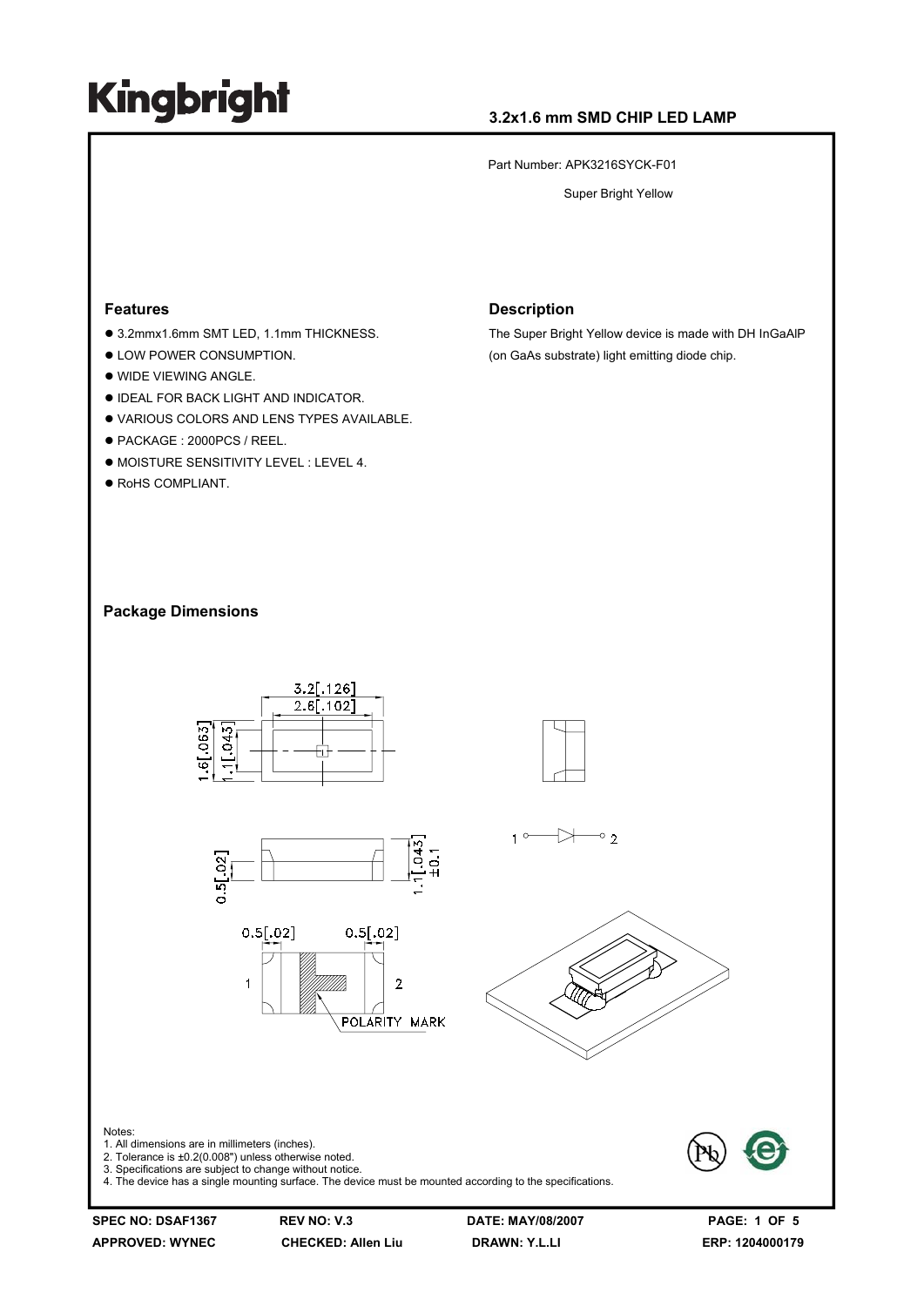### **3.2x1.6 mm SMD CHIP LED LAMP**

Part Number: APK3216SYCK-F01

Super Bright Yellow

#### **Features**

- 3.2mmx1.6mm SMT LED, 1.1mm THICKNESS.
- $\bullet$  LOW POWER CONSUMPTION.
- $\bullet$  WIDE VIEWING ANGLE.
- **. IDEAL FOR BACK LIGHT AND INDICATOR.**
- . VARIOUS COLORS AND LENS TYPES AVAILABLE.
- PACKAGE : 2000PCS / REEL.
- $\bullet$  MOISTURE SENSITIVITY LEVEL : LEVEL 4.
- $\bullet$  RoHS COMPLIANT.

#### **Description**

The Super Bright Yellow device is made with DH InGaAlP (on GaAs substrate) light emitting diode chip.

#### **Package Dimensions**



Notes: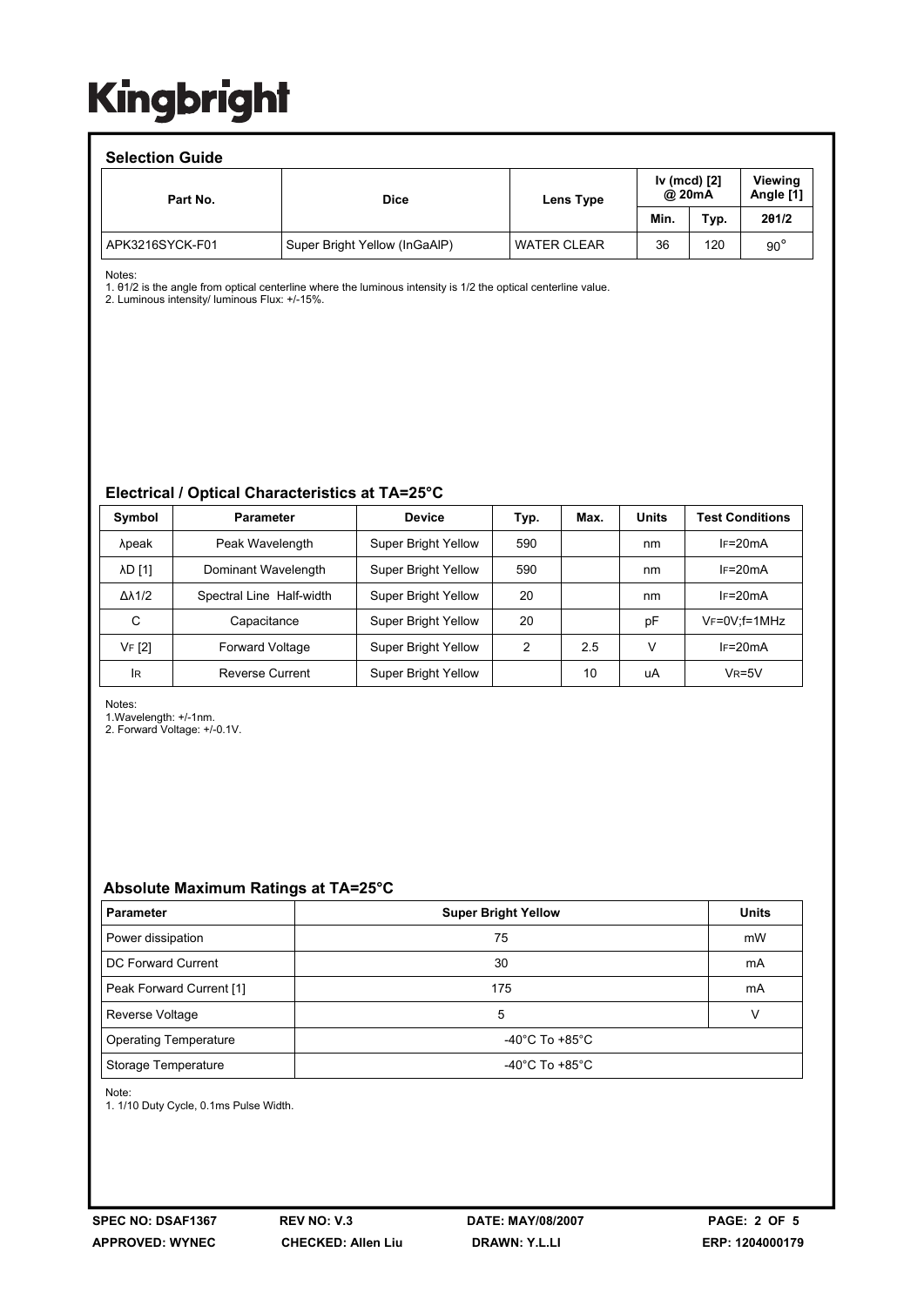#### **Selection Guide**

| ociociion ouiuc |                               |                    |      |                        |                             |  |  |  |
|-----------------|-------------------------------|--------------------|------|------------------------|-----------------------------|--|--|--|
| Part No.        | <b>Dice</b>                   | Lens Type          |      | Iv (mcd) [2]<br>@ 20mA | <b>Viewing</b><br>Angle [1] |  |  |  |
|                 |                               |                    | Min. | Typ.                   | 201/2                       |  |  |  |
| APK3216SYCK-F01 | Super Bright Yellow (InGaAIP) | <b>WATER CLEAR</b> | 36   | 120                    | $90^{\circ}$                |  |  |  |

Notes:

1. θ1/2 is the angle from optical centerline where the luminous intensity is 1/2 the optical centerline value.

2. Luminous intensity/ luminous Flux: +/-15%.

#### **Electrical / Optical Characteristics at TA=25°C**

| Symbol              | <b>Parameter</b>         | <b>Device</b>              | Typ. | Max. | <b>Units</b> | <b>Test Conditions</b> |
|---------------------|--------------------------|----------------------------|------|------|--------------|------------------------|
| λpeak               | Peak Wavelength          | Super Bright Yellow        | 590  |      | nm           | $IF=20mA$              |
| <b>AD [1]</b>       | Dominant Wavelength      | <b>Super Bright Yellow</b> | 590  |      | nm           | $IF=20mA$              |
| $\Delta\lambda$ 1/2 | Spectral Line Half-width | <b>Super Bright Yellow</b> | 20   |      | nm           | $IF=20mA$              |
| C                   | Capacitance              | <b>Super Bright Yellow</b> | 20   |      | рF           | VF=0V;f=1MHz           |
| VF [2]              | <b>Forward Voltage</b>   | Super Bright Yellow        | 2    | 2.5  | v            | $IF=20mA$              |
| <b>IR</b>           | Reverse Current          | <b>Super Bright Yellow</b> |      | 10   | uA           | $V_R = 5V$             |

Notes:

1.Wavelength: +/-1nm.

2. Forward Voltage: +/-0.1V.

### **Absolute Maximum Ratings at TA=25°C**

| <b>Parameter</b>             | <b>Super Bright Yellow</b>           | <b>Units</b> |  |
|------------------------------|--------------------------------------|--------------|--|
| Power dissipation            | 75                                   | mW           |  |
| DC Forward Current           | 30                                   | mA           |  |
| Peak Forward Current [1]     | 175                                  | mA           |  |
| Reverse Voltage              | 5                                    |              |  |
| <b>Operating Temperature</b> | -40 $^{\circ}$ C To +85 $^{\circ}$ C |              |  |
| Storage Temperature          | -40 $^{\circ}$ C To +85 $^{\circ}$ C |              |  |

Note:

1. 1/10 Duty Cycle, 0.1ms Pulse Width.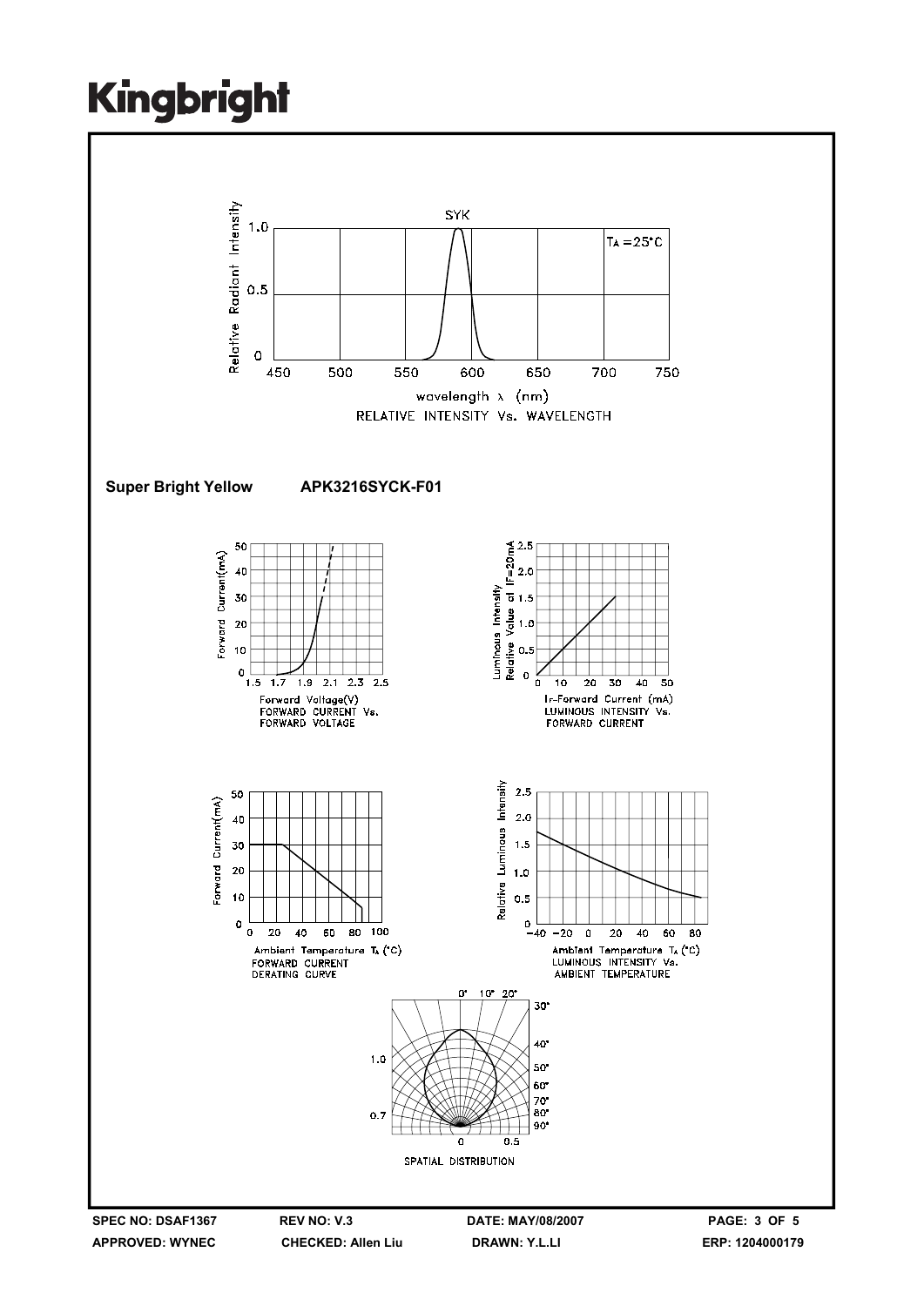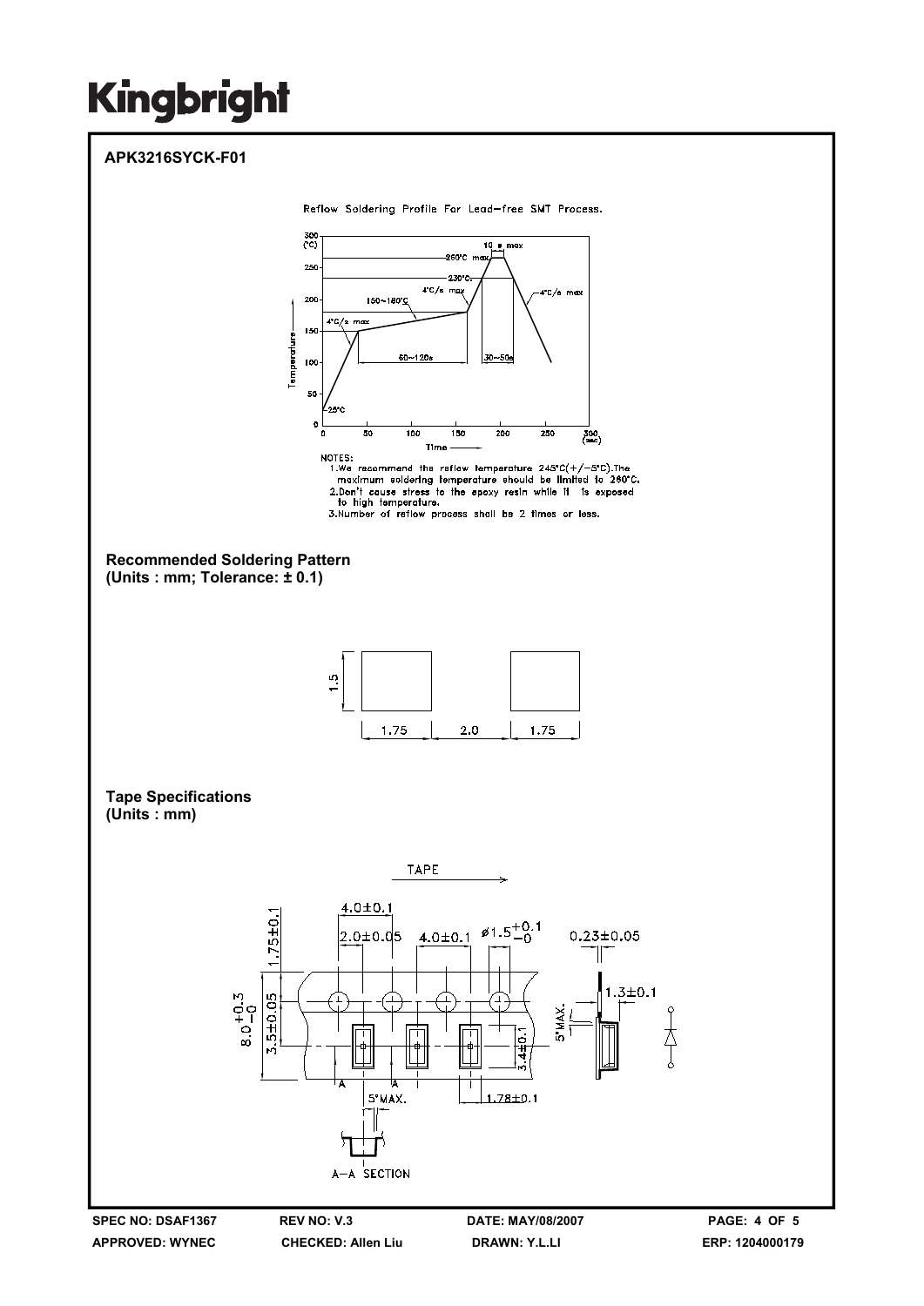